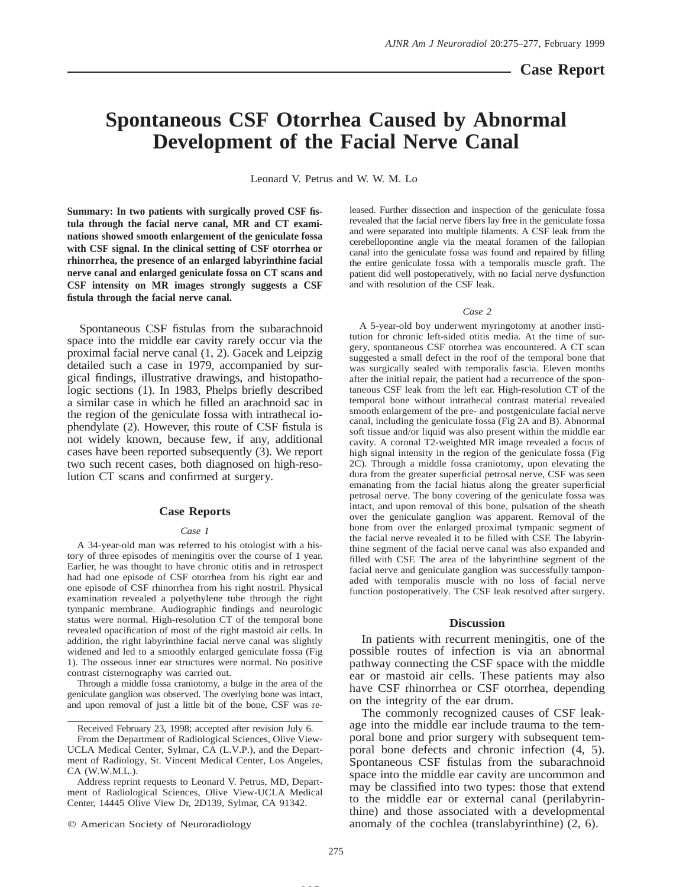# **Spontaneous CSF Otorrhea Caused by Abnormal Development of the Facial Nerve Canal**

Leonard V. Petrus and W. W. M. Lo

**Summary: In two patients with surgically proved CSF fistula through the facial nerve canal, MR and CT examinations showed smooth enlargement of the geniculate fossa with CSF signal. In the clinical setting of CSF otorrhea or rhinorrhea, the presence of an enlarged labyrinthine facial nerve canal and enlarged geniculate fossa on CT scans and CSF intensity on MR images strongly suggests a CSF fistula through the facial nerve canal.**

Spontaneous CSF fistulas from the subarachnoid space into the middle ear cavity rarely occur via the proximal facial nerve canal (1, 2). Gacek and Leipzig detailed such a case in 1979, accompanied by surgical findings, illustrative drawings, and histopathologic sections (1). In 1983, Phelps briefly described a similar case in which he filled an arachnoid sac in the region of the geniculate fossa with intrathecal iophendylate (2). However, this route of CSF fistula is not widely known, because few, if any, additional cases have been reported subsequently (3). We report two such recent cases, both diagnosed on high-resolution CT scans and confirmed at surgery.

## **Case Reports**

## *Case 1*

A 34-year-old man was referred to his otologist with a history of three episodes of meningitis over the course of 1 year. Earlier, he was thought to have chronic otitis and in retrospect had had one episode of CSF otorrhea from his right ear and one episode of CSF rhinorrhea from his right nostril. Physical examination revealed a polyethylene tube through the right tympanic membrane. Audiographic findings and neurologic status were normal. High-resolution CT of the temporal bone revealed opacification of most of the right mastoid air cells. In addition, the right labyrinthine facial nerve canal was slightly widened and led to a smoothly enlarged geniculate fossa (Fig 1). The osseous inner ear structures were normal. No positive contrast cisternography was carried out.

Through a middle fossa craniotomy, a bulge in the area of the geniculate ganglion was observed. The overlying bone was intact, and upon removal of just a little bit of the bone, CSF was re-

Received February 23, 1998; accepted after revision July 6.

 $©$  American Society of Neuroradiology

leased. Further dissection and inspection of the geniculate fossa revealed that the facial nerve fibers lay free in the geniculate fossa and were separated into multiple filaments. A CSF leak from the cerebellopontine angle via the meatal foramen of the fallopian canal into the geniculate fossa was found and repaired by filling the entire geniculate fossa with a temporalis muscle graft. The patient did well postoperatively, with no facial nerve dysfunction and with resolution of the CSF leak.

#### *Case 2*

A 5-year-old boy underwent myringotomy at another institution for chronic left-sided otitis media. At the time of surgery, spontaneous CSF otorrhea was encountered. A CT scan suggested a small defect in the roof of the temporal bone that was surgically sealed with temporalis fascia. Eleven months after the initial repair, the patient had a recurrence of the spontaneous CSF leak from the left ear. High-resolution CT of the temporal bone without intrathecal contrast material revealed smooth enlargement of the pre- and postgeniculate facial nerve canal, including the geniculate fossa (Fig 2A and B). Abnormal soft tissue and/or liquid was also present within the middle ear cavity. A coronal T2-weighted MR image revealed a focus of high signal intensity in the region of the geniculate fossa (Fig 2C). Through a middle fossa craniotomy, upon elevating the dura from the greater superficial petrosal nerve, CSF was seen emanating from the facial hiatus along the greater superficial petrosal nerve. The bony covering of the geniculate fossa was intact, and upon removal of this bone, pulsation of the sheath over the geniculate ganglion was apparent. Removal of the bone from over the enlarged proximal tympanic segment of the facial nerve revealed it to be filled with CSF. The labyrinthine segment of the facial nerve canal was also expanded and filled with CSF. The area of the labyrinthine segment of the facial nerve and geniculate ganglion was successfully tamponaded with temporalis muscle with no loss of facial nerve function postoperatively. The CSF leak resolved after surgery.

### **Discussion**

In patients with recurrent meningitis, one of the possible routes of infection is via an abnormal pathway connecting the CSF space with the middle ear or mastoid air cells. These patients may also have CSF rhinorrhea or CSF otorrhea, depending on the integrity of the ear drum.

The commonly recognized causes of CSF leakage into the middle ear include trauma to the temporal bone and prior surgery with subsequent temporal bone defects and chronic infection (4, 5). Spontaneous CSF fistulas from the subarachnoid space into the middle ear cavity are uncommon and may be classified into two types: those that extend to the middle ear or external canal (perilabyrinthine) and those associated with a developmental anomaly of the cochlea (translabyrinthine) (2, 6).

**MS**

From the Department of Radiological Sciences, Olive View-UCLA Medical Center, Sylmar, CA (L.V.P.), and the Department of Radiology, St. Vincent Medical Center, Los Angeles, CA (W.W.M.L.).

Address reprint requests to Leonard V. Petrus, MD, Department of Radiological Sciences, Olive View-UCLA Medical Center, 14445 Olive View Dr, 2D139, Sylmar, CA 91342.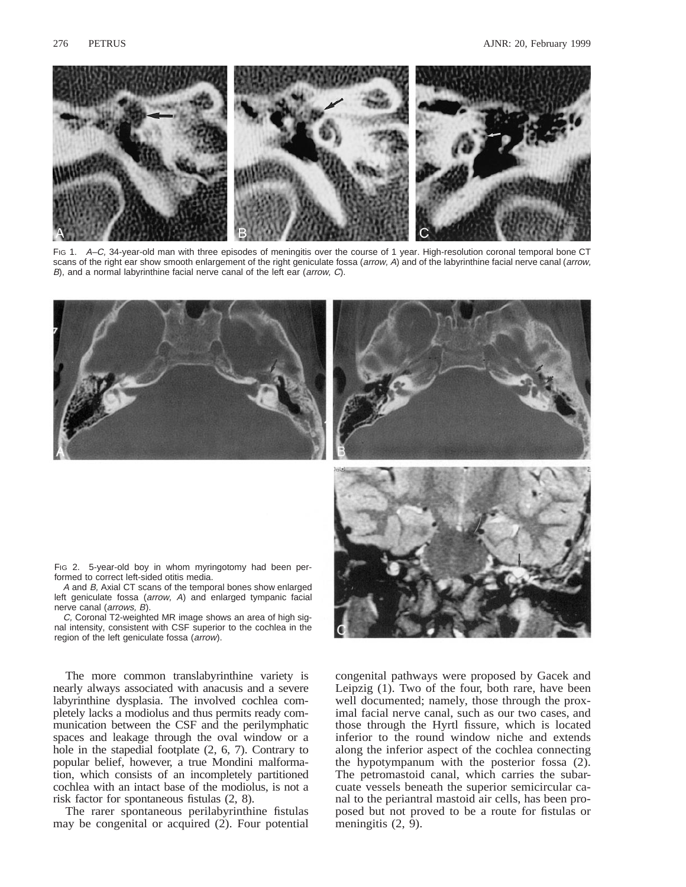

FIG 1. A–C, 34-year-old man with three episodes of meningitis over the course of 1 year. High-resolution coronal temporal bone CT scans of the right ear show smooth enlargement of the right geniculate fossa (arrow, A) and of the labyrinthine facial nerve canal (arrow, B), and a normal labyrinthine facial nerve canal of the left ear (arrow, C).







FIG 2. 5-year-old boy in whom myringotomy had been performed to correct left-sided otitis media.

A and B, Axial CT scans of the temporal bones show enlarged left geniculate fossa (arrow, A) and enlarged tympanic facial nerve canal (arrows, B).

C, Coronal T2-weighted MR image shows an area of high signal intensity, consistent with CSF superior to the cochlea in the region of the left geniculate fossa (arrow).

The more common translabyrinthine variety is nearly always associated with anacusis and a severe labyrinthine dysplasia. The involved cochlea completely lacks a modiolus and thus permits ready communication between the CSF and the perilymphatic spaces and leakage through the oval window or a hole in the stapedial footplate (2, 6, 7). Contrary to popular belief, however, a true Mondini malformation, which consists of an incompletely partitioned cochlea with an intact base of the modiolus, is not a risk factor for spontaneous fistulas (2, 8).

The rarer spontaneous perilabyrinthine fistulas may be congenital or acquired (2). Four potential congenital pathways were proposed by Gacek and Leipzig (1). Two of the four, both rare, have been well documented; namely, those through the proximal facial nerve canal, such as our two cases, and those through the Hyrtl fissure, which is located inferior to the round window niche and extends along the inferior aspect of the cochlea connecting the hypotympanum with the posterior fossa (2). The petromastoid canal, which carries the subarcuate vessels beneath the superior semicircular canal to the periantral mastoid air cells, has been proposed but not proved to be a route for fistulas or meningitis  $(2, 9)$ .